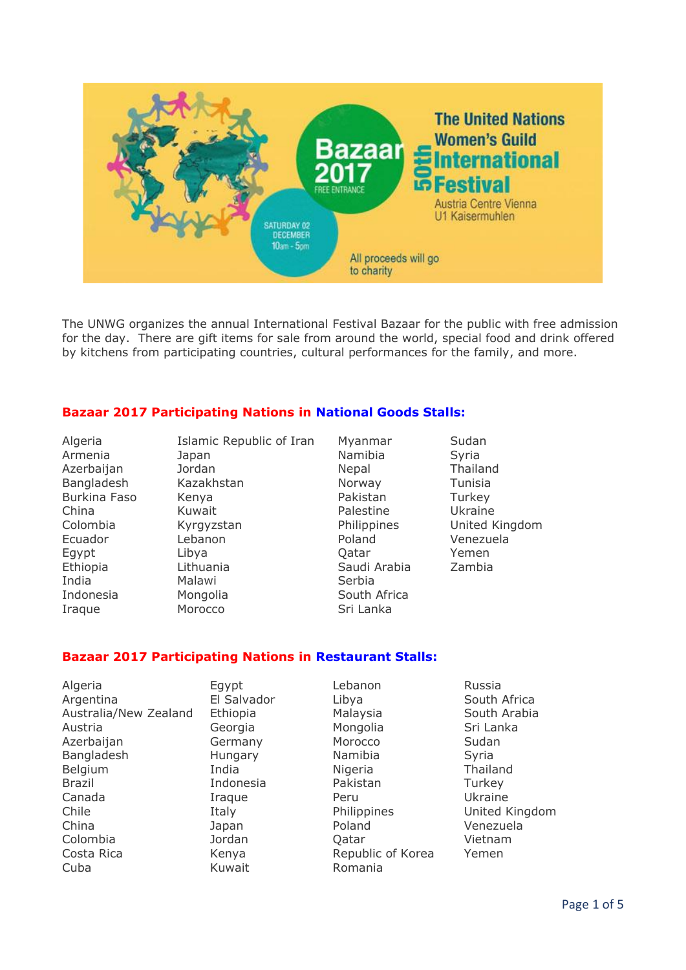

The UNWG organizes the annual International Festival Bazaar for the public with free admission for the day. There are gift items for sale from around the world, special food and drink offered by kitchens from participating countries, cultural performances for the family, and more.

#### **Bazaar 2017 Participating Nations in National Goods Stalls:**

Algeria Islamic Republic of Iran Myanmar Sudan Iraque Morocco Sri Lanka

Armenia **Japan** Japan Namibia Syria Azerbaijan Jordan Nepal Thailand Bangladesh Kazakhstan Norway Tunisia Burkina Faso Kenya **Kenya Kenya Kenya Kenya Kenya Kenya Kenya Pakistan** Turkey China Kuwait Palestine Ukraine Ecuador Lebanon Poland Venezuela Egypt Libya Qatar Yemen Ethiopia Lithuania Saudi Arabia Zambia India Malawi Serbia Indonesia Mongolia South Africa

Colombia Kyrgyzstan Philippines United Kingdom

## **Bazaar 2017 Participating Nations in Restaurant Stalls:**

Algeria Egypt Lebanon Russia Argentina El Salvador Libya Limes South Africa<br>Australia/New Zealand Ethiopia Malaysia South Arabia Australia/New Zealand Ethiopia Malaysia Austria Georgia Mongolia Sri Lanka Azerbaijan Germany Morocco Sudan Bangladesh **Hungary** Namibia Syria Belgium 1ndia Nigeria Thailand Brazil Indonesia Pakistan Turkey Canada Iraque Peru Ukraine Chile Italy Philippines United Kingdom China Japan Poland Venezuela Colombia Jordan Qatar Vietnam Costa Rica Kenya Republic of Korea Yemen Cuba Kuwait Romania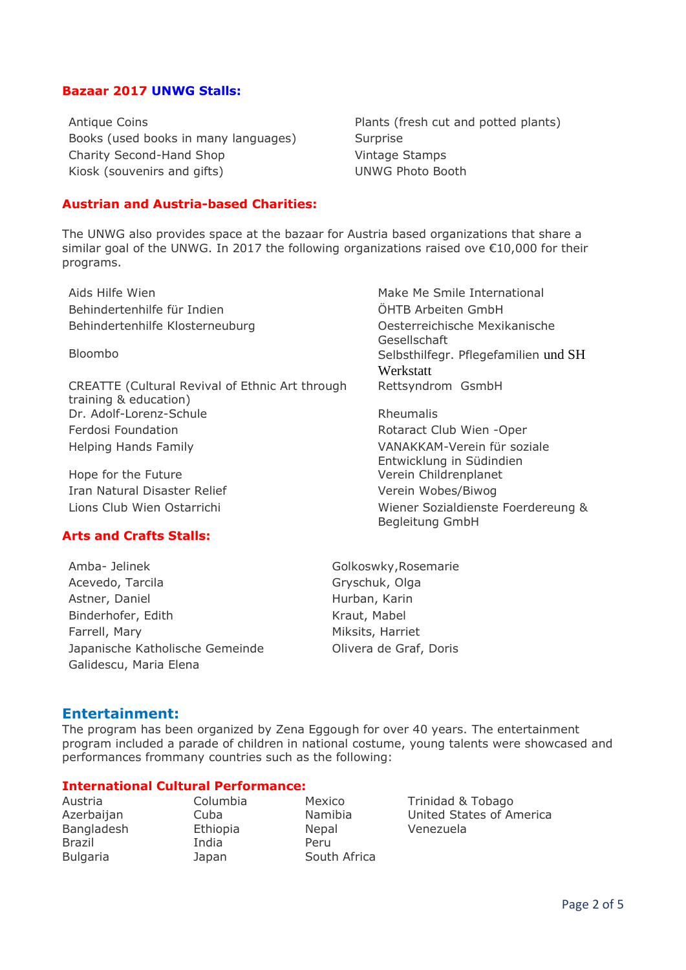#### **Bazaar 2017 UNWG Stalls:**

Antique Coins **Plants** (fresh cut and potted plants) Books (used books in many languages) Surprise Charity Second-Hand Shop Vintage Stamps Kiosk (souvenirs and gifts) UNWG Photo Booth

#### **Austrian and Austria-based Charities:**

The UNWG also provides space at the bazaar for Austria based organizations that share a similar goal of the UNWG. In 2017 the following organizations raised ove  $\epsilon$ 10,000 for their programs.

Aids Hilfe Wien Make Me Smile International Behindertenhilfe für Indien ÖHTB Arbeiten GmbH Behindertenhilfe Klosterneuburg Oesterreichische Mexikanische

CREATTE (Cultural Revival of Ethnic Art through training & education) Dr. Adolf-Lorenz-Schule Rheumalis Ferdosi Foundation Rotaract Club Wien -Oper Helping Hands Family VANAKKAM-Verein für soziale

Hope for the Future **Verein Childrenplanet** Iran Natural Disaster Relief Verein Wobes/Biwog

## **Arts and Crafts Stalls:**

Amba- Jelinek Golkoswky,Rosemarie Acevedo, Tarcila Gryschuk, Olga Astner, Daniel **Hurban, Karin** Binderhofer, Edith Kraut, Mabel Farrell, Mary **Miksits**, Harriet Japanische Katholische Gemeinde Olivera de Graf, Doris Galidescu, Maria Elena

Gesellschaft Bloombo Selbsthilfegr. Pflegefamilien und SH Werkstatt Rettsyndrom GsmbH

Entwicklung in Südindien Lions Club Wien Ostarrichi Wiener Sozialdienste Foerdereung & Begleitung GmbH

#### **Entertainment:**

The program has been organized by Zena Eggough for over 40 years. The entertainment program included a parade of children in national costume, young talents were showcased and performances frommany countries such as the following:

#### **International Cultural Performance:**

Bangladesh Ethiopia Nepal Venezuela Brazil **India** Peru Bulgaria **Japan** South Africa

Austria Columbia Mexico Trinidad & Tobago Azerbaijan Cuba Namibia United States of America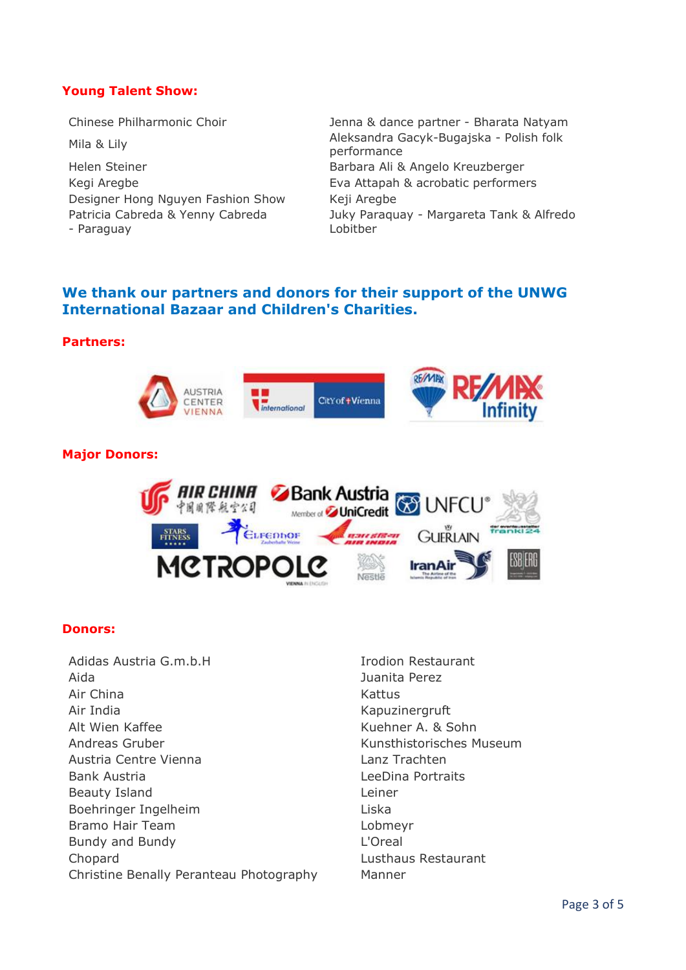## **Young Talent Show:**

Helen Steiner **Barbara Ali & Angelo Kreuzberger** Kegi Aregbe **Eva Attapah & acrobatic performers** Designer Hong Nguyen Fashion Show Keji Aregbe Patricia Cabreda & Yenny Cabreda - Paraguay

Chinese Philharmonic Choir Jenna & dance partner - Bharata Natyam Mila & Lily Aleksandra Gacyk-Bugajska - Polish folk performance Juky Paraquay - Margareta Tank & Alfredo Lobitber

# **We thank our partners and donors for their support of the UNWG International Bazaar and Children's Charities.**

#### **Partners:**



### **Major Donors:**



#### **Donors:**

- Adidas Austria G.m.b.H **Indiana Adidas Austria G.m.b.H** Aida Juanita Perez Air China **Kattus** Kattus Air India **Kapuzinergruft** Alt Wien Kaffee Kuehner A. & Sohn Andreas Gruber Kunsthistorisches Museum Austria Centre Vienna Lanz Trachten Bank Austria LeeDina Portraits Beauty Island **Let a Controller** Exempt 2 Leiner Boehringer Ingelheim Liska Bramo Hair Team Lobmeyr Bundy and Bundy **L'Oreal** Chopard Lusthaus Restaurant Christine Benally Peranteau Photography Manner
	-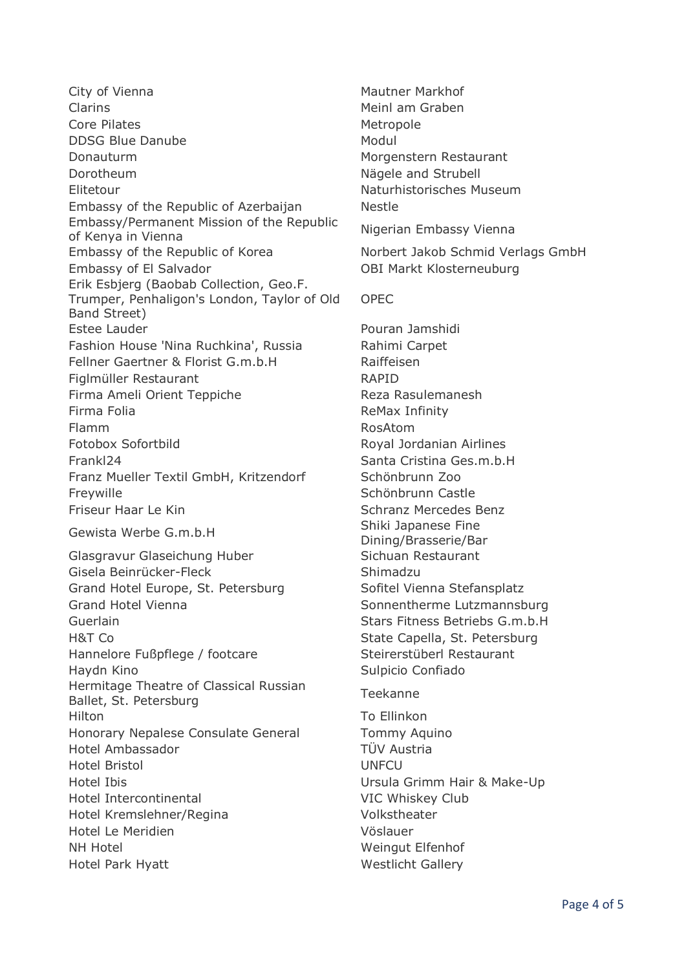City of Vienna **Mautner Markhof** Mautner Markhof Clarins Claring Claring Claring Claring Meinl am Graben Core Pilates **Metropole** DDSG Blue Danube Modul Donauturm Morgenstern Restaurant Dorotheum Nägele and Strubell Elitetour Naturhistorisches Museum Embassy of the Republic of Azerbaijan Nestle Embassy/Permanent Mission of the Republic Embassy/Fermanent Mission of the Republic Migerian Embassy Vienna<br>of Kenya in Vienna Embassy of the Republic of Korea Norbert Jakob Schmid Verlags GmbH Embassy of El Salvador **Carry Communist Communist Communist Communist Communist Communist Communist Communist Communist Communist Communist Communist Communist Communist Communist Communist Communist Communist Communist Co** Erik Esbjerg (Baobab Collection, Geo.F. Trumper, Penhaligon's London, Taylor of Old Band Street) Estee Lauder **Pouran Jamshidi** Fashion House 'Nina Ruchkina', Russia Rahimi Carpet Fellner Gaertner & Florist G.m.b.H Raiffeisen Figlmüller Restaurant and RAPID Firma Ameli Orient Teppiche **Reza Rasulemanesh** Firma Folia **Remarical Remarical Remarical Remarical** Remarical Remarical Remarical Remarical Remarical Remarical Flamm RosAtom Fotobox Sofortbild **Royal Jordanian Airlines** Frankl24 Santa Cristina Ges.m.b.H Franz Mueller Textil GmbH, Kritzendorf Schönbrunn Zoo Freywille **Schönbrunn Castle** Friseur Haar Le Kin Schranz Mercedes Benz Gewista Werbe G.m.b.H Shiki Japanese Fine Glasgravur Glaseichung Huber Sichuan Restaurant Gisela Beinrücker-Fleck Shimadzu Grand Hotel Europe, St. Petersburg Sofitel Vienna Stefansplatz Grand Hotel Vienna Sonnentherme Lutzmannsburg Guerlain Stars Fitness Betriebs G.m.b.H H&T Co State Capella, St. Petersburg Hannelore Fußpflege / footcare Steirerstüberl Restaurant Haydn Kino **Sulpicio Confiado** Hermitage Theatre of Classical Russian Tiermitage Trieatre of Classical Russian<br>Ballet, St. Petersburg Hilton To Ellinkon Honorary Nepalese Consulate General Tommy Aquino Hotel Ambassador **TÜV** Austria Hotel Bristol UNFCU Hotel Ibis Ursula Grimm Hair & Make-Up Hotel Intercontinental VIC Whiskey Club Hotel Kremslehner/Regina Volkstheater Hotel Le Meridien Vöslauer NH Hotel Weingut Elfenhof Hotel Park Hyatt Nestlicht Gallery

OPEC Dining/Brasserie/Bar